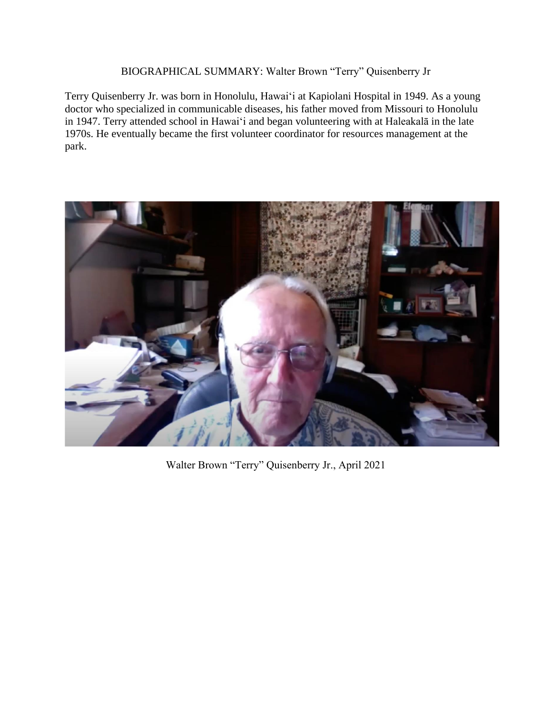## BIOGRAPHICAL SUMMARY: Walter Brown "Terry" Quisenberry Jr

Terry Quisenberry Jr. was born in Honolulu, Hawaiʻi at Kapiolani Hospital in 1949. As a young doctor who specialized in communicable diseases, his father moved from Missouri to Honolulu in 1947. Terry attended school in Hawai'i and began volunteering with at Haleakalā in the late 1970s. He eventually became the first volunteer coordinator for resources management at the park.



Walter Brown "Terry" Quisenberry Jr., April 2021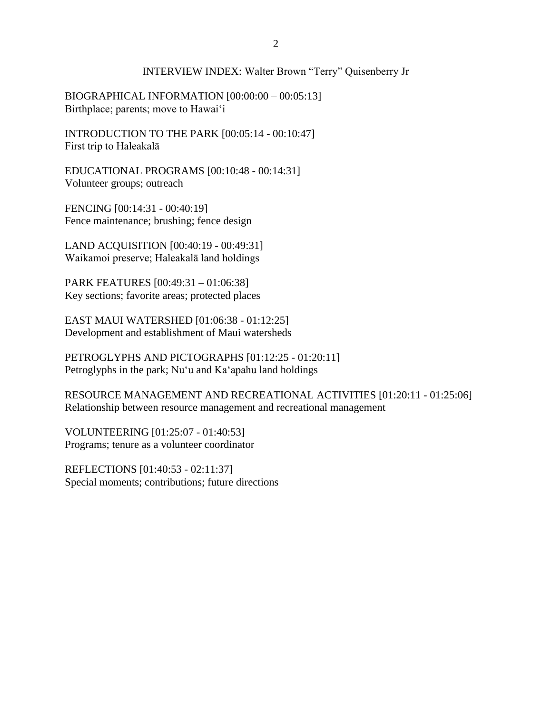## INTERVIEW INDEX: Walter Brown "Terry" Quisenberry Jr

BIOGRAPHICAL INFORMATION [00:00:00 – 00:05:13] Birthplace; parents; move to Hawai'i

INTRODUCTION TO THE PARK [00:05:14 - 00:10:47] First trip to Haleakalā

EDUCATIONAL PROGRAMS [00:10:48 - 00:14:31] Volunteer groups; outreach

FENCING [00:14:31 - 00:40:19] Fence maintenance; brushing; fence design

LAND ACQUISITION [00:40:19 - 00:49:31] Waikamoi preserve; Haleakalā land holdings

PARK FEATURES [00:49:31 – 01:06:38] Key sections; favorite areas; protected places

EAST MAUI WATERSHED [01:06:38 - 01:12:25] Development and establishment of Maui watersheds

PETROGLYPHS AND PICTOGRAPHS [01:12:25 - 01:20:11] Petroglyphs in the park; Nuʻu and Kaʻapahu land holdings

RESOURCE MANAGEMENT AND RECREATIONAL ACTIVITIES [01:20:11 - 01:25:06] Relationship between resource management and recreational management

VOLUNTEERING [01:25:07 - 01:40:53] Programs; tenure as a volunteer coordinator

REFLECTIONS [01:40:53 - 02:11:37] Special moments; contributions; future directions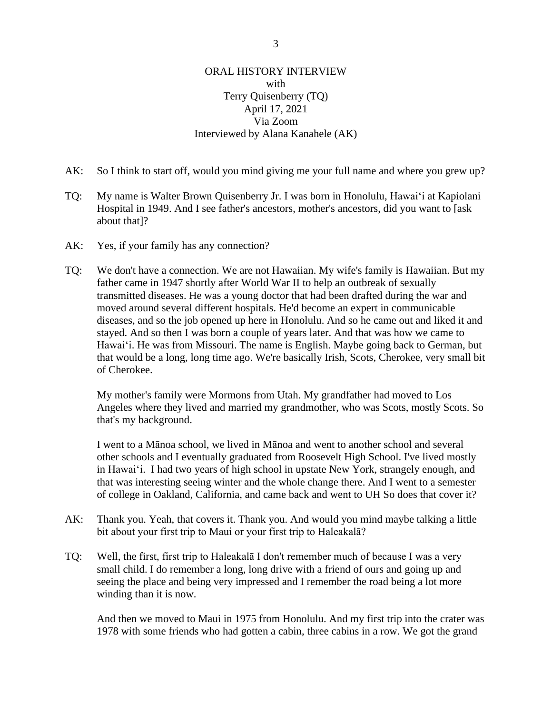## ORAL HISTORY INTERVIEW with Terry Quisenberry (TQ) April 17, 2021 Via Zoom Interviewed by Alana Kanahele (AK)

- AK: So I think to start off, would you mind giving me your full name and where you grew up?
- TQ: My name is Walter Brown Quisenberry Jr. I was born in Honolulu, Hawaiʻi at Kapiolani Hospital in 1949. And I see father's ancestors, mother's ancestors, did you want to [ask about that]?
- AK: Yes, if your family has any connection?
- TQ: We don't have a connection. We are not Hawaiian. My wife's family is Hawaiian. But my father came in 1947 shortly after World War II to help an outbreak of sexually transmitted diseases. He was a young doctor that had been drafted during the war and moved around several different hospitals. He'd become an expert in communicable diseases, and so the job opened up here in Honolulu. And so he came out and liked it and stayed. And so then I was born a couple of years later. And that was how we came to Hawaiʻi. He was from Missouri. The name is English. Maybe going back to German, but that would be a long, long time ago. We're basically Irish, Scots, Cherokee, very small bit of Cherokee.

My mother's family were Mormons from Utah. My grandfather had moved to Los Angeles where they lived and married my grandmother, who was Scots, mostly Scots. So that's my background.

I went to a Mānoa school, we lived in Mānoa and went to another school and several other schools and I eventually graduated from Roosevelt High School. I've lived mostly in Hawaiʻi. I had two years of high school in upstate New York, strangely enough, and that was interesting seeing winter and the whole change there. And I went to a semester of college in Oakland, California, and came back and went to UH So does that cover it?

- AK: Thank you. Yeah, that covers it. Thank you. And would you mind maybe talking a little bit about your first trip to Maui or your first trip to Haleakalā?
- TQ: Well, the first, first trip to Haleakalā I don't remember much of because I was a very small child. I do remember a long, long drive with a friend of ours and going up and seeing the place and being very impressed and I remember the road being a lot more winding than it is now.

And then we moved to Maui in 1975 from Honolulu. And my first trip into the crater was 1978 with some friends who had gotten a cabin, three cabins in a row. We got the grand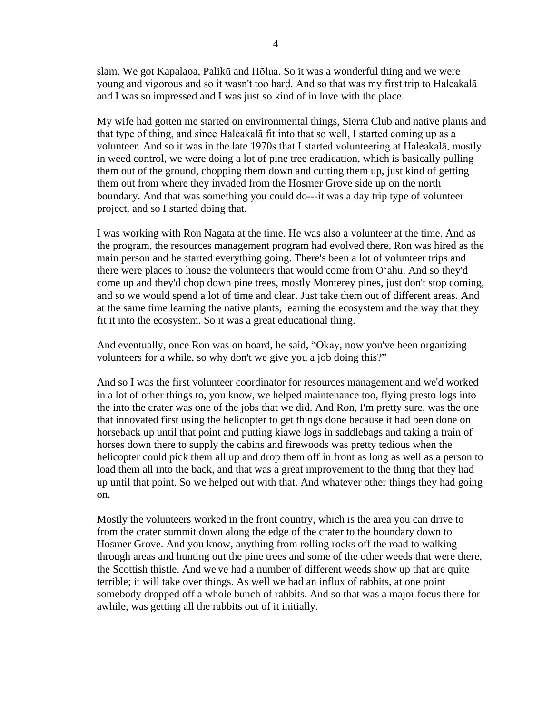slam. We got Kapalaoa, Palikū and Hōlua. So it was a wonderful thing and we were young and vigorous and so it wasn't too hard. And so that was my first trip to Haleakalā and I was so impressed and I was just so kind of in love with the place.

My wife had gotten me started on environmental things, Sierra Club and native plants and that type of thing, and since Haleakalā fit into that so well, I started coming up as a volunteer. And so it was in the late 1970s that I started volunteering at Haleakalā, mostly in weed control, we were doing a lot of pine tree eradication, which is basically pulling them out of the ground, chopping them down and cutting them up, just kind of getting them out from where they invaded from the Hosmer Grove side up on the north boundary. And that was something you could do---it was a day trip type of volunteer project, and so I started doing that.

I was working with Ron Nagata at the time. He was also a volunteer at the time. And as the program, the resources management program had evolved there, Ron was hired as the main person and he started everything going. There's been a lot of volunteer trips and there were places to house the volunteers that would come from Oʻahu. And so they'd come up and they'd chop down pine trees, mostly Monterey pines, just don't stop coming, and so we would spend a lot of time and clear. Just take them out of different areas. And at the same time learning the native plants, learning the ecosystem and the way that they fit it into the ecosystem. So it was a great educational thing.

And eventually, once Ron was on board, he said, "Okay, now you've been organizing volunteers for a while, so why don't we give you a job doing this?"

And so I was the first volunteer coordinator for resources management and we'd worked in a lot of other things to, you know, we helped maintenance too, flying presto logs into the into the crater was one of the jobs that we did. And Ron, I'm pretty sure, was the one that innovated first using the helicopter to get things done because it had been done on horseback up until that point and putting kiawe logs in saddlebags and taking a train of horses down there to supply the cabins and firewoods was pretty tedious when the helicopter could pick them all up and drop them off in front as long as well as a person to load them all into the back, and that was a great improvement to the thing that they had up until that point. So we helped out with that. And whatever other things they had going on.

Mostly the volunteers worked in the front country, which is the area you can drive to from the crater summit down along the edge of the crater to the boundary down to Hosmer Grove. And you know, anything from rolling rocks off the road to walking through areas and hunting out the pine trees and some of the other weeds that were there, the Scottish thistle. And we've had a number of different weeds show up that are quite terrible; it will take over things. As well we had an influx of rabbits, at one point somebody dropped off a whole bunch of rabbits. And so that was a major focus there for awhile, was getting all the rabbits out of it initially.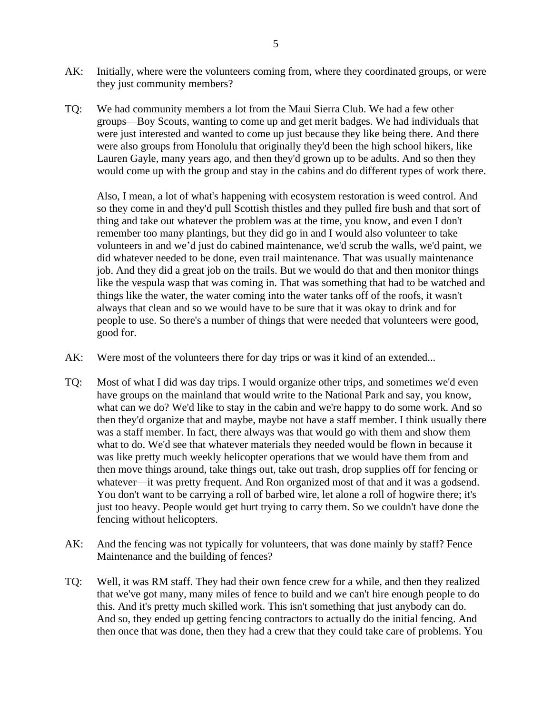- AK: Initially, where were the volunteers coming from, where they coordinated groups, or were they just community members?
- TQ: We had community members a lot from the Maui Sierra Club. We had a few other groups—Boy Scouts, wanting to come up and get merit badges. We had individuals that were just interested and wanted to come up just because they like being there. And there were also groups from Honolulu that originally they'd been the high school hikers, like Lauren Gayle, many years ago, and then they'd grown up to be adults. And so then they would come up with the group and stay in the cabins and do different types of work there.

Also, I mean, a lot of what's happening with ecosystem restoration is weed control. And so they come in and they'd pull Scottish thistles and they pulled fire bush and that sort of thing and take out whatever the problem was at the time, you know, and even I don't remember too many plantings, but they did go in and I would also volunteer to take volunteers in and we'd just do cabined maintenance, we'd scrub the walls, we'd paint, we did whatever needed to be done, even trail maintenance. That was usually maintenance job. And they did a great job on the trails. But we would do that and then monitor things like the vespula wasp that was coming in. That was something that had to be watched and things like the water, the water coming into the water tanks off of the roofs, it wasn't always that clean and so we would have to be sure that it was okay to drink and for people to use. So there's a number of things that were needed that volunteers were good, good for.

- AK: Were most of the volunteers there for day trips or was it kind of an extended...
- TQ: Most of what I did was day trips. I would organize other trips, and sometimes we'd even have groups on the mainland that would write to the National Park and say, you know, what can we do? We'd like to stay in the cabin and we're happy to do some work. And so then they'd organize that and maybe, maybe not have a staff member. I think usually there was a staff member. In fact, there always was that would go with them and show them what to do. We'd see that whatever materials they needed would be flown in because it was like pretty much weekly helicopter operations that we would have them from and then move things around, take things out, take out trash, drop supplies off for fencing or whatever—it was pretty frequent. And Ron organized most of that and it was a godsend. You don't want to be carrying a roll of barbed wire, let alone a roll of hogwire there; it's just too heavy. People would get hurt trying to carry them. So we couldn't have done the fencing without helicopters.
- AK: And the fencing was not typically for volunteers, that was done mainly by staff? Fence Maintenance and the building of fences?
- TQ: Well, it was RM staff. They had their own fence crew for a while, and then they realized that we've got many, many miles of fence to build and we can't hire enough people to do this. And it's pretty much skilled work. This isn't something that just anybody can do. And so, they ended up getting fencing contractors to actually do the initial fencing. And then once that was done, then they had a crew that they could take care of problems. You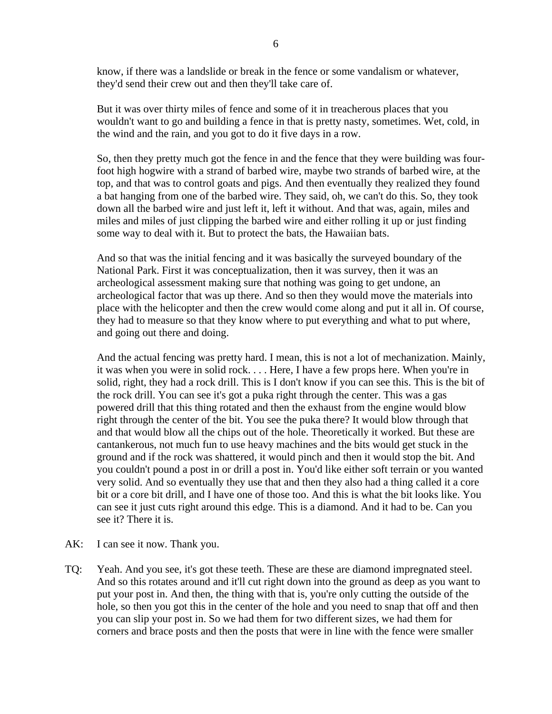know, if there was a landslide or break in the fence or some vandalism or whatever, they'd send their crew out and then they'll take care of.

But it was over thirty miles of fence and some of it in treacherous places that you wouldn't want to go and building a fence in that is pretty nasty, sometimes. Wet, cold, in the wind and the rain, and you got to do it five days in a row.

So, then they pretty much got the fence in and the fence that they were building was fourfoot high hogwire with a strand of barbed wire, maybe two strands of barbed wire, at the top, and that was to control goats and pigs. And then eventually they realized they found a bat hanging from one of the barbed wire. They said, oh, we can't do this. So, they took down all the barbed wire and just left it, left it without. And that was, again, miles and miles and miles of just clipping the barbed wire and either rolling it up or just finding some way to deal with it. But to protect the bats, the Hawaiian bats.

And so that was the initial fencing and it was basically the surveyed boundary of the National Park. First it was conceptualization, then it was survey, then it was an archeological assessment making sure that nothing was going to get undone, an archeological factor that was up there. And so then they would move the materials into place with the helicopter and then the crew would come along and put it all in. Of course, they had to measure so that they know where to put everything and what to put where, and going out there and doing.

And the actual fencing was pretty hard. I mean, this is not a lot of mechanization. Mainly, it was when you were in solid rock. . . . Here, I have a few props here. When you're in solid, right, they had a rock drill. This is I don't know if you can see this. This is the bit of the rock drill. You can see it's got a puka right through the center. This was a gas powered drill that this thing rotated and then the exhaust from the engine would blow right through the center of the bit. You see the puka there? It would blow through that and that would blow all the chips out of the hole. Theoretically it worked. But these are cantankerous, not much fun to use heavy machines and the bits would get stuck in the ground and if the rock was shattered, it would pinch and then it would stop the bit. And you couldn't pound a post in or drill a post in. You'd like either soft terrain or you wanted very solid. And so eventually they use that and then they also had a thing called it a core bit or a core bit drill, and I have one of those too. And this is what the bit looks like. You can see it just cuts right around this edge. This is a diamond. And it had to be. Can you see it? There it is.

- AK: I can see it now. Thank you.
- TQ: Yeah. And you see, it's got these teeth. These are these are diamond impregnated steel. And so this rotates around and it'll cut right down into the ground as deep as you want to put your post in. And then, the thing with that is, you're only cutting the outside of the hole, so then you got this in the center of the hole and you need to snap that off and then you can slip your post in. So we had them for two different sizes, we had them for corners and brace posts and then the posts that were in line with the fence were smaller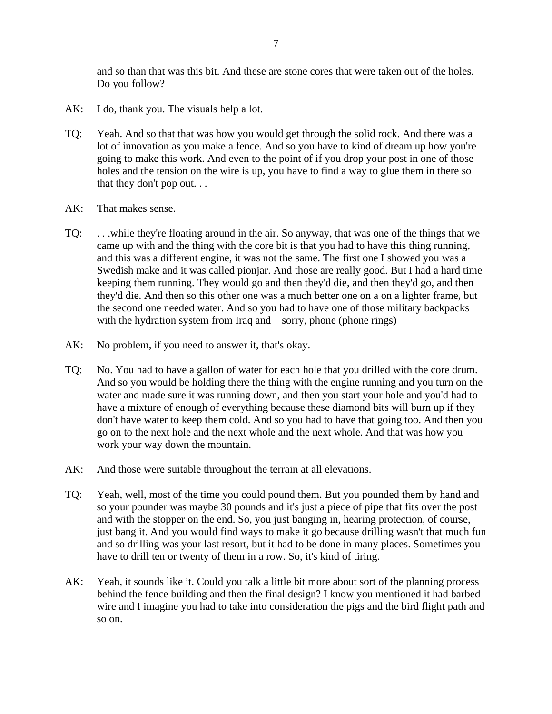and so than that was this bit. And these are stone cores that were taken out of the holes. Do you follow?

- AK: I do, thank you. The visuals help a lot.
- TQ: Yeah. And so that that was how you would get through the solid rock. And there was a lot of innovation as you make a fence. And so you have to kind of dream up how you're going to make this work. And even to the point of if you drop your post in one of those holes and the tension on the wire is up, you have to find a way to glue them in there so that they don't pop out. . .
- AK: That makes sense.
- TQ: . . .while they're floating around in the air. So anyway, that was one of the things that we came up with and the thing with the core bit is that you had to have this thing running, and this was a different engine, it was not the same. The first one I showed you was a Swedish make and it was called pionjar. And those are really good. But I had a hard time keeping them running. They would go and then they'd die, and then they'd go, and then they'd die. And then so this other one was a much better one on a on a lighter frame, but the second one needed water. And so you had to have one of those military backpacks with the hydration system from Iraq and—sorry, phone (phone rings)
- AK: No problem, if you need to answer it, that's okay.
- TQ: No. You had to have a gallon of water for each hole that you drilled with the core drum. And so you would be holding there the thing with the engine running and you turn on the water and made sure it was running down, and then you start your hole and you'd had to have a mixture of enough of everything because these diamond bits will burn up if they don't have water to keep them cold. And so you had to have that going too. And then you go on to the next hole and the next whole and the next whole. And that was how you work your way down the mountain.
- AK: And those were suitable throughout the terrain at all elevations.
- TQ: Yeah, well, most of the time you could pound them. But you pounded them by hand and so your pounder was maybe 30 pounds and it's just a piece of pipe that fits over the post and with the stopper on the end. So, you just banging in, hearing protection, of course, just bang it. And you would find ways to make it go because drilling wasn't that much fun and so drilling was your last resort, but it had to be done in many places. Sometimes you have to drill ten or twenty of them in a row. So, it's kind of tiring.
- AK: Yeah, it sounds like it. Could you talk a little bit more about sort of the planning process behind the fence building and then the final design? I know you mentioned it had barbed wire and I imagine you had to take into consideration the pigs and the bird flight path and so on.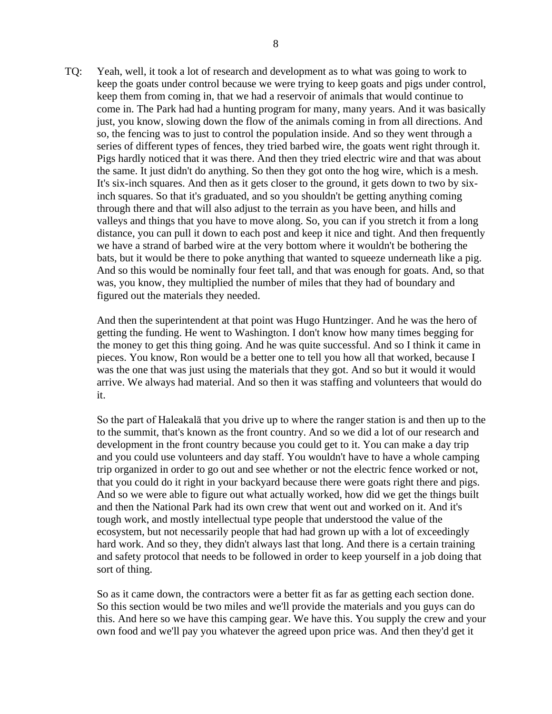TQ: Yeah, well, it took a lot of research and development as to what was going to work to keep the goats under control because we were trying to keep goats and pigs under control, keep them from coming in, that we had a reservoir of animals that would continue to come in. The Park had had a hunting program for many, many years. And it was basically just, you know, slowing down the flow of the animals coming in from all directions. And so, the fencing was to just to control the population inside. And so they went through a series of different types of fences, they tried barbed wire, the goats went right through it. Pigs hardly noticed that it was there. And then they tried electric wire and that was about the same. It just didn't do anything. So then they got onto the hog wire, which is a mesh. It's six-inch squares. And then as it gets closer to the ground, it gets down to two by sixinch squares. So that it's graduated, and so you shouldn't be getting anything coming through there and that will also adjust to the terrain as you have been, and hills and valleys and things that you have to move along. So, you can if you stretch it from a long distance, you can pull it down to each post and keep it nice and tight. And then frequently we have a strand of barbed wire at the very bottom where it wouldn't be bothering the bats, but it would be there to poke anything that wanted to squeeze underneath like a pig. And so this would be nominally four feet tall, and that was enough for goats. And, so that was, you know, they multiplied the number of miles that they had of boundary and figured out the materials they needed.

And then the superintendent at that point was Hugo Huntzinger. And he was the hero of getting the funding. He went to Washington. I don't know how many times begging for the money to get this thing going. And he was quite successful. And so I think it came in pieces. You know, Ron would be a better one to tell you how all that worked, because I was the one that was just using the materials that they got. And so but it would it would arrive. We always had material. And so then it was staffing and volunteers that would do it.

So the part of Haleakalā that you drive up to where the ranger station is and then up to the to the summit, that's known as the front country. And so we did a lot of our research and development in the front country because you could get to it. You can make a day trip and you could use volunteers and day staff. You wouldn't have to have a whole camping trip organized in order to go out and see whether or not the electric fence worked or not, that you could do it right in your backyard because there were goats right there and pigs. And so we were able to figure out what actually worked, how did we get the things built and then the National Park had its own crew that went out and worked on it. And it's tough work, and mostly intellectual type people that understood the value of the ecosystem, but not necessarily people that had had grown up with a lot of exceedingly hard work. And so they, they didn't always last that long. And there is a certain training and safety protocol that needs to be followed in order to keep yourself in a job doing that sort of thing.

So as it came down, the contractors were a better fit as far as getting each section done. So this section would be two miles and we'll provide the materials and you guys can do this. And here so we have this camping gear. We have this. You supply the crew and your own food and we'll pay you whatever the agreed upon price was. And then they'd get it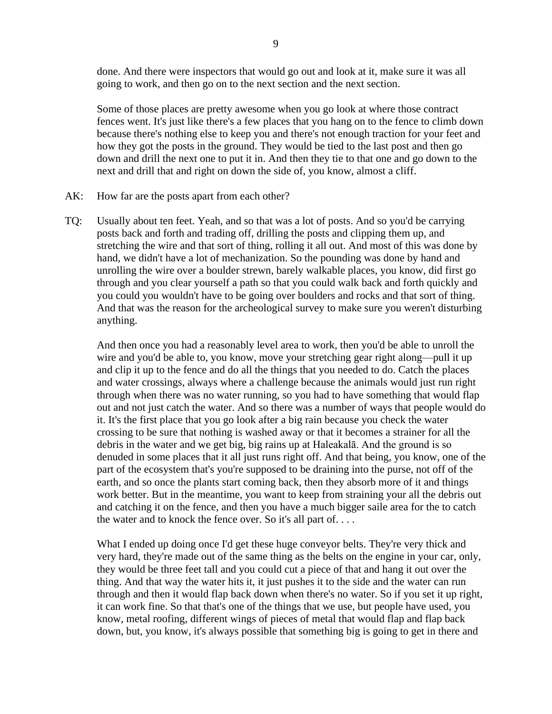done. And there were inspectors that would go out and look at it, make sure it was all going to work, and then go on to the next section and the next section.

Some of those places are pretty awesome when you go look at where those contract fences went. It's just like there's a few places that you hang on to the fence to climb down because there's nothing else to keep you and there's not enough traction for your feet and how they got the posts in the ground. They would be tied to the last post and then go down and drill the next one to put it in. And then they tie to that one and go down to the next and drill that and right on down the side of, you know, almost a cliff.

- AK: How far are the posts apart from each other?
- TQ: Usually about ten feet. Yeah, and so that was a lot of posts. And so you'd be carrying posts back and forth and trading off, drilling the posts and clipping them up, and stretching the wire and that sort of thing, rolling it all out. And most of this was done by hand, we didn't have a lot of mechanization. So the pounding was done by hand and unrolling the wire over a boulder strewn, barely walkable places, you know, did first go through and you clear yourself a path so that you could walk back and forth quickly and you could you wouldn't have to be going over boulders and rocks and that sort of thing. And that was the reason for the archeological survey to make sure you weren't disturbing anything.

And then once you had a reasonably level area to work, then you'd be able to unroll the wire and you'd be able to, you know, move your stretching gear right along—pull it up and clip it up to the fence and do all the things that you needed to do. Catch the places and water crossings, always where a challenge because the animals would just run right through when there was no water running, so you had to have something that would flap out and not just catch the water. And so there was a number of ways that people would do it. It's the first place that you go look after a big rain because you check the water crossing to be sure that nothing is washed away or that it becomes a strainer for all the debris in the water and we get big, big rains up at Haleakalā. And the ground is so denuded in some places that it all just runs right off. And that being, you know, one of the part of the ecosystem that's you're supposed to be draining into the purse, not off of the earth, and so once the plants start coming back, then they absorb more of it and things work better. But in the meantime, you want to keep from straining your all the debris out and catching it on the fence, and then you have a much bigger saile area for the to catch the water and to knock the fence over. So it's all part of. . . .

What I ended up doing once I'd get these huge conveyor belts. They're very thick and very hard, they're made out of the same thing as the belts on the engine in your car, only, they would be three feet tall and you could cut a piece of that and hang it out over the thing. And that way the water hits it, it just pushes it to the side and the water can run through and then it would flap back down when there's no water. So if you set it up right, it can work fine. So that that's one of the things that we use, but people have used, you know, metal roofing, different wings of pieces of metal that would flap and flap back down, but, you know, it's always possible that something big is going to get in there and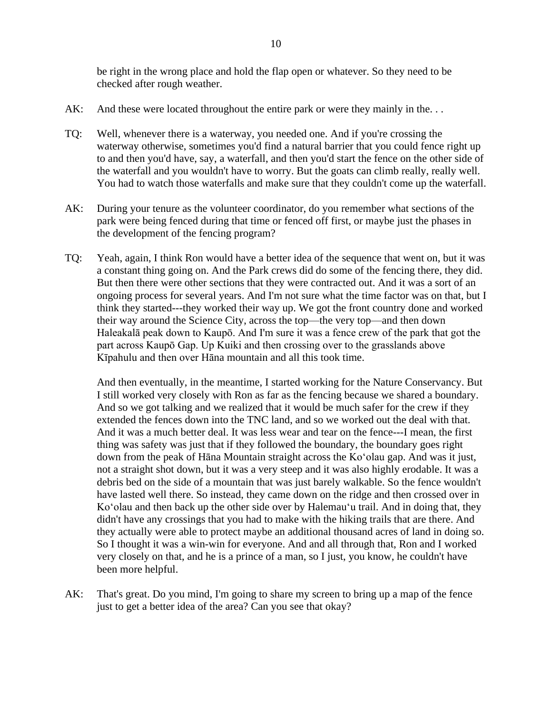be right in the wrong place and hold the flap open or whatever. So they need to be checked after rough weather.

- AK: And these were located throughout the entire park or were they mainly in the...
- TQ: Well, whenever there is a waterway, you needed one. And if you're crossing the waterway otherwise, sometimes you'd find a natural barrier that you could fence right up to and then you'd have, say, a waterfall, and then you'd start the fence on the other side of the waterfall and you wouldn't have to worry. But the goats can climb really, really well. You had to watch those waterfalls and make sure that they couldn't come up the waterfall.
- AK: During your tenure as the volunteer coordinator, do you remember what sections of the park were being fenced during that time or fenced off first, or maybe just the phases in the development of the fencing program?
- TQ: Yeah, again, I think Ron would have a better idea of the sequence that went on, but it was a constant thing going on. And the Park crews did do some of the fencing there, they did. But then there were other sections that they were contracted out. And it was a sort of an ongoing process for several years. And I'm not sure what the time factor was on that, but I think they started---they worked their way up. We got the front country done and worked their way around the Science City, across the top—the very top—and then down Haleakalā peak down to Kaupō. And I'm sure it was a fence crew of the park that got the part across Kaupō Gap. Up Kuiki and then crossing over to the grasslands above Kīpahulu and then over Hāna mountain and all this took time.

And then eventually, in the meantime, I started working for the Nature Conservancy. But I still worked very closely with Ron as far as the fencing because we shared a boundary. And so we got talking and we realized that it would be much safer for the crew if they extended the fences down into the TNC land, and so we worked out the deal with that. And it was a much better deal. It was less wear and tear on the fence---I mean, the first thing was safety was just that if they followed the boundary, the boundary goes right down from the peak of Hāna Mountain straight across the Koʻolau gap. And was it just, not a straight shot down, but it was a very steep and it was also highly erodable. It was a debris bed on the side of a mountain that was just barely walkable. So the fence wouldn't have lasted well there. So instead, they came down on the ridge and then crossed over in Koʻolau and then back up the other side over by Halemau'u trail. And in doing that, they didn't have any crossings that you had to make with the hiking trails that are there. And they actually were able to protect maybe an additional thousand acres of land in doing so. So I thought it was a win-win for everyone. And and all through that, Ron and I worked very closely on that, and he is a prince of a man, so I just, you know, he couldn't have been more helpful.

AK: That's great. Do you mind, I'm going to share my screen to bring up a map of the fence just to get a better idea of the area? Can you see that okay?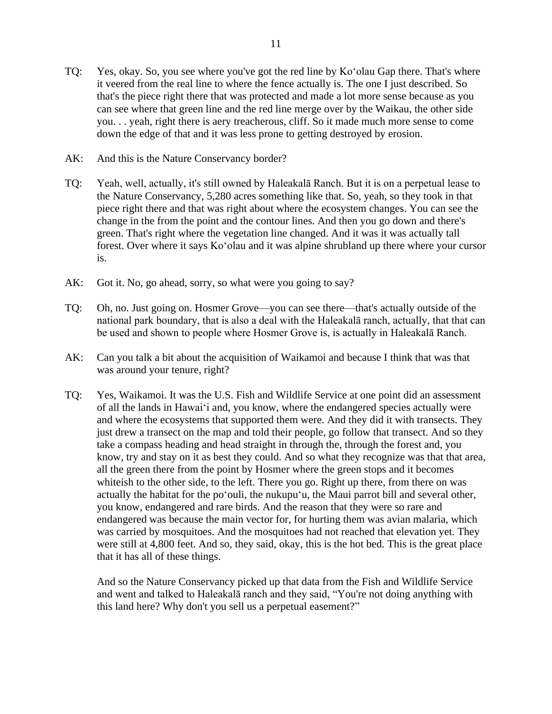- TQ: Yes, okay. So, you see where you've got the red line by Koʻolau Gap there. That's where it veered from the real line to where the fence actually is. The one I just described. So that's the piece right there that was protected and made a lot more sense because as you can see where that green line and the red line merge over by the Waikau, the other side you. . . yeah, right there is aery treacherous, cliff. So it made much more sense to come down the edge of that and it was less prone to getting destroyed by erosion.
- AK: And this is the Nature Conservancy border?
- TQ: Yeah, well, actually, it's still owned by Haleakalā Ranch. But it is on a perpetual lease to the Nature Conservancy, 5,280 acres something like that. So, yeah, so they took in that piece right there and that was right about where the ecosystem changes. You can see the change in the from the point and the contour lines. And then you go down and there's green. That's right where the vegetation line changed. And it was it was actually tall forest. Over where it says Koʻolau and it was alpine shrubland up there where your cursor is.
- AK: Got it. No, go ahead, sorry, so what were you going to say?
- TQ: Oh, no. Just going on. Hosmer Grove—you can see there—that's actually outside of the national park boundary, that is also a deal with the Haleakalā ranch, actually, that that can be used and shown to people where Hosmer Grove is, is actually in Haleakalā Ranch.
- AK: Can you talk a bit about the acquisition of Waikamoi and because I think that was that was around your tenure, right?
- TQ: Yes, Waikamoi. It was the U.S. Fish and Wildlife Service at one point did an assessment of all the lands in Hawaiʻi and, you know, where the endangered species actually were and where the ecosystems that supported them were. And they did it with transects. They just drew a transect on the map and told their people, go follow that transect. And so they take a compass heading and head straight in through the, through the forest and, you know, try and stay on it as best they could. And so what they recognize was that that area, all the green there from the point by Hosmer where the green stops and it becomes whiteish to the other side, to the left. There you go. Right up there, from there on was actually the habitat for the poʻouli, the nukupuʻu, the Maui parrot bill and several other, you know, endangered and rare birds. And the reason that they were so rare and endangered was because the main vector for, for hurting them was avian malaria, which was carried by mosquitoes. And the mosquitoes had not reached that elevation yet. They were still at 4,800 feet. And so, they said, okay, this is the hot bed. This is the great place that it has all of these things.

And so the Nature Conservancy picked up that data from the Fish and Wildlife Service and went and talked to Haleakalā ranch and they said, "You're not doing anything with this land here? Why don't you sell us a perpetual easement?"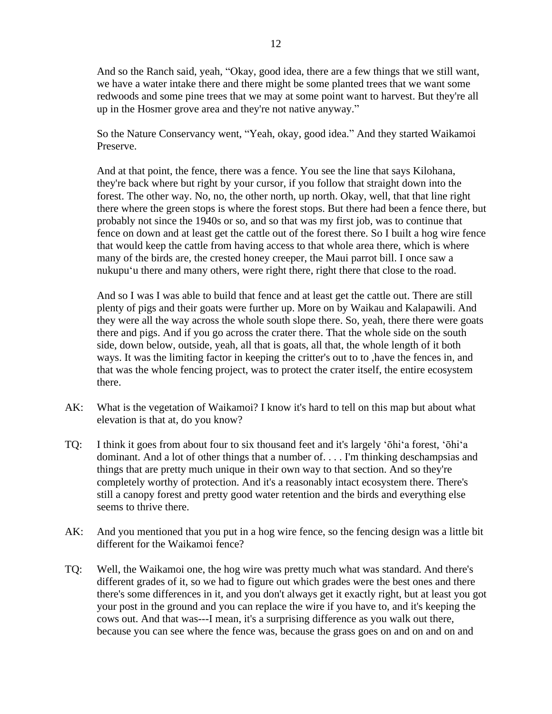And so the Ranch said, yeah, "Okay, good idea, there are a few things that we still want, we have a water intake there and there might be some planted trees that we want some redwoods and some pine trees that we may at some point want to harvest. But they're all up in the Hosmer grove area and they're not native anyway."

So the Nature Conservancy went, "Yeah, okay, good idea." And they started Waikamoi Preserve.

And at that point, the fence, there was a fence. You see the line that says Kilohana, they're back where but right by your cursor, if you follow that straight down into the forest. The other way. No, no, the other north, up north. Okay, well, that that line right there where the green stops is where the forest stops. But there had been a fence there, but probably not since the 1940s or so, and so that was my first job, was to continue that fence on down and at least get the cattle out of the forest there. So I built a hog wire fence that would keep the cattle from having access to that whole area there, which is where many of the birds are, the crested honey creeper, the Maui parrot bill. I once saw a nukupuʻu there and many others, were right there, right there that close to the road.

And so I was I was able to build that fence and at least get the cattle out. There are still plenty of pigs and their goats were further up. More on by Waikau and Kalapawili. And they were all the way across the whole south slope there. So, yeah, there there were goats there and pigs. And if you go across the crater there. That the whole side on the south side, down below, outside, yeah, all that is goats, all that, the whole length of it both ways. It was the limiting factor in keeping the critter's out to to ,have the fences in, and that was the whole fencing project, was to protect the crater itself, the entire ecosystem there.

- AK: What is the vegetation of Waikamoi? I know it's hard to tell on this map but about what elevation is that at, do you know?
- TQ: I think it goes from about four to six thousand feet and it's largely ʻōhiʻa forest, ʻōhiʻa dominant. And a lot of other things that a number of. . . . I'm thinking deschampsias and things that are pretty much unique in their own way to that section. And so they're completely worthy of protection. And it's a reasonably intact ecosystem there. There's still a canopy forest and pretty good water retention and the birds and everything else seems to thrive there.
- AK: And you mentioned that you put in a hog wire fence, so the fencing design was a little bit different for the Waikamoi fence?
- TQ: Well, the Waikamoi one, the hog wire was pretty much what was standard. And there's different grades of it, so we had to figure out which grades were the best ones and there there's some differences in it, and you don't always get it exactly right, but at least you got your post in the ground and you can replace the wire if you have to, and it's keeping the cows out. And that was---I mean, it's a surprising difference as you walk out there, because you can see where the fence was, because the grass goes on and on and on and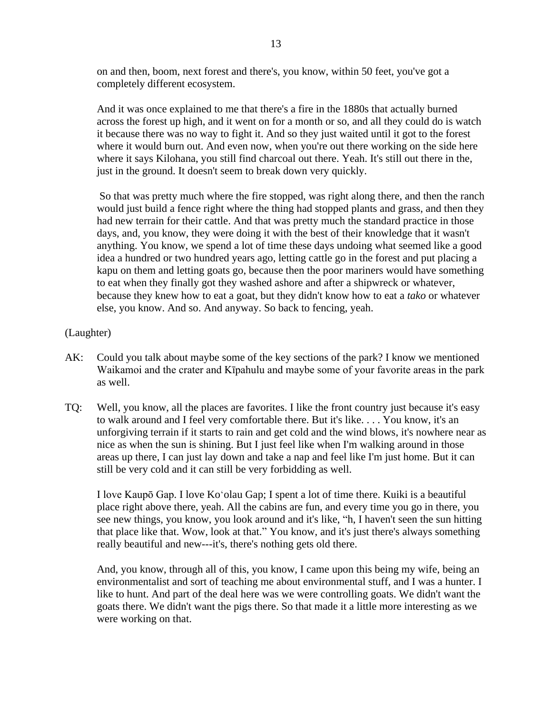on and then, boom, next forest and there's, you know, within 50 feet, you've got a completely different ecosystem.

And it was once explained to me that there's a fire in the 1880s that actually burned across the forest up high, and it went on for a month or so, and all they could do is watch it because there was no way to fight it. And so they just waited until it got to the forest where it would burn out. And even now, when you're out there working on the side here where it says Kilohana, you still find charcoal out there. Yeah. It's still out there in the, just in the ground. It doesn't seem to break down very quickly.

So that was pretty much where the fire stopped, was right along there, and then the ranch would just build a fence right where the thing had stopped plants and grass, and then they had new terrain for their cattle. And that was pretty much the standard practice in those days, and, you know, they were doing it with the best of their knowledge that it wasn't anything. You know, we spend a lot of time these days undoing what seemed like a good idea a hundred or two hundred years ago, letting cattle go in the forest and put placing a kapu on them and letting goats go, because then the poor mariners would have something to eat when they finally got they washed ashore and after a shipwreck or whatever, because they knew how to eat a goat, but they didn't know how to eat a *tako* or whatever else, you know. And so. And anyway. So back to fencing, yeah.

## (Laughter)

- AK: Could you talk about maybe some of the key sections of the park? I know we mentioned Waikamoi and the crater and Kīpahulu and maybe some of your favorite areas in the park as well.
- TQ: Well, you know, all the places are favorites. I like the front country just because it's easy to walk around and I feel very comfortable there. But it's like. . . . You know, it's an unforgiving terrain if it starts to rain and get cold and the wind blows, it's nowhere near as nice as when the sun is shining. But I just feel like when I'm walking around in those areas up there, I can just lay down and take a nap and feel like I'm just home. But it can still be very cold and it can still be very forbidding as well.

I love Kaupō Gap. I love Koʻolau Gap; I spent a lot of time there. Kuiki is a beautiful place right above there, yeah. All the cabins are fun, and every time you go in there, you see new things, you know, you look around and it's like, "h, I haven't seen the sun hitting that place like that. Wow, look at that." You know, and it's just there's always something really beautiful and new---it's, there's nothing gets old there.

And, you know, through all of this, you know, I came upon this being my wife, being an environmentalist and sort of teaching me about environmental stuff, and I was a hunter. I like to hunt. And part of the deal here was we were controlling goats. We didn't want the goats there. We didn't want the pigs there. So that made it a little more interesting as we were working on that.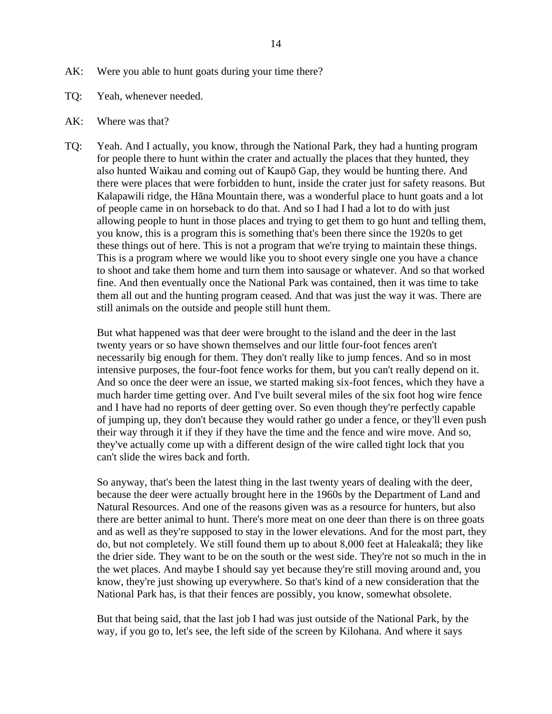- AK: Were you able to hunt goats during your time there?
- TQ: Yeah, whenever needed.
- AK: Where was that?
- TQ: Yeah. And I actually, you know, through the National Park, they had a hunting program for people there to hunt within the crater and actually the places that they hunted, they also hunted Waikau and coming out of Kaupō Gap, they would be hunting there. And there were places that were forbidden to hunt, inside the crater just for safety reasons. But Kalapawili ridge, the Hāna Mountain there, was a wonderful place to hunt goats and a lot of people came in on horseback to do that. And so I had I had a lot to do with just allowing people to hunt in those places and trying to get them to go hunt and telling them, you know, this is a program this is something that's been there since the 1920s to get these things out of here. This is not a program that we're trying to maintain these things. This is a program where we would like you to shoot every single one you have a chance to shoot and take them home and turn them into sausage or whatever. And so that worked fine. And then eventually once the National Park was contained, then it was time to take them all out and the hunting program ceased. And that was just the way it was. There are still animals on the outside and people still hunt them.

But what happened was that deer were brought to the island and the deer in the last twenty years or so have shown themselves and our little four-foot fences aren't necessarily big enough for them. They don't really like to jump fences. And so in most intensive purposes, the four-foot fence works for them, but you can't really depend on it. And so once the deer were an issue, we started making six-foot fences, which they have a much harder time getting over. And I've built several miles of the six foot hog wire fence and I have had no reports of deer getting over. So even though they're perfectly capable of jumping up, they don't because they would rather go under a fence, or they'll even push their way through it if they if they have the time and the fence and wire move. And so, they've actually come up with a different design of the wire called tight lock that you can't slide the wires back and forth.

So anyway, that's been the latest thing in the last twenty years of dealing with the deer, because the deer were actually brought here in the 1960s by the Department of Land and Natural Resources. And one of the reasons given was as a resource for hunters, but also there are better animal to hunt. There's more meat on one deer than there is on three goats and as well as they're supposed to stay in the lower elevations. And for the most part, they do, but not completely. We still found them up to about 8,000 feet at Haleakalā; they like the drier side. They want to be on the south or the west side. They're not so much in the in the wet places. And maybe I should say yet because they're still moving around and, you know, they're just showing up everywhere. So that's kind of a new consideration that the National Park has, is that their fences are possibly, you know, somewhat obsolete.

But that being said, that the last job I had was just outside of the National Park, by the way, if you go to, let's see, the left side of the screen by Kilohana. And where it says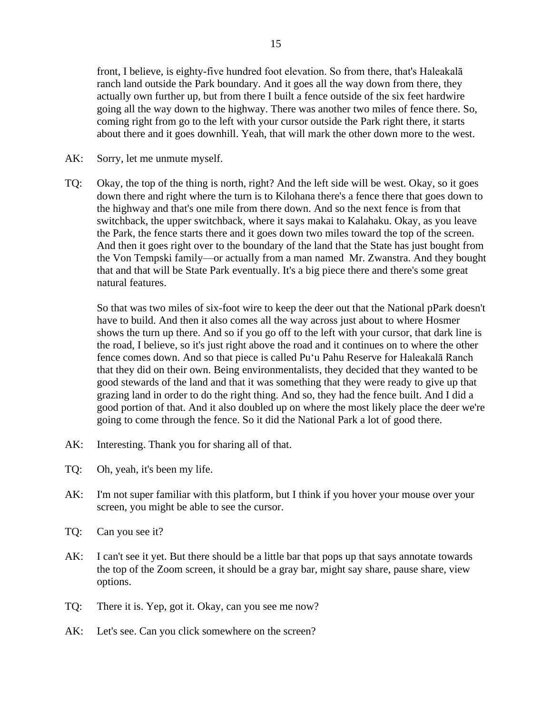front, I believe, is eighty-five hundred foot elevation. So from there, that's Haleakalā ranch land outside the Park boundary. And it goes all the way down from there, they actually own further up, but from there I built a fence outside of the six feet hardwire going all the way down to the highway. There was another two miles of fence there. So, coming right from go to the left with your cursor outside the Park right there, it starts about there and it goes downhill. Yeah, that will mark the other down more to the west.

- AK: Sorry, let me unmute myself.
- TQ: Okay, the top of the thing is north, right? And the left side will be west. Okay, so it goes down there and right where the turn is to Kilohana there's a fence there that goes down to the highway and that's one mile from there down. And so the next fence is from that switchback, the upper switchback, where it says makai to Kalahaku. Okay, as you leave the Park, the fence starts there and it goes down two miles toward the top of the screen. And then it goes right over to the boundary of the land that the State has just bought from the Von Tempski family—or actually from a man named Mr. Zwanstra. And they bought that and that will be State Park eventually. It's a big piece there and there's some great natural features.

So that was two miles of six-foot wire to keep the deer out that the National pPark doesn't have to build. And then it also comes all the way across just about to where Hosmer shows the turn up there. And so if you go off to the left with your cursor, that dark line is the road, I believe, so it's just right above the road and it continues on to where the other fence comes down. And so that piece is called Puʻu Pahu Reserve for Haleakalā Ranch that they did on their own. Being environmentalists, they decided that they wanted to be good stewards of the land and that it was something that they were ready to give up that grazing land in order to do the right thing. And so, they had the fence built. And I did a good portion of that. And it also doubled up on where the most likely place the deer we're going to come through the fence. So it did the National Park a lot of good there.

- AK: Interesting. Thank you for sharing all of that.
- TQ: Oh, yeah, it's been my life.
- AK: I'm not super familiar with this platform, but I think if you hover your mouse over your screen, you might be able to see the cursor.
- TQ: Can you see it?
- AK: I can't see it yet. But there should be a little bar that pops up that says annotate towards the top of the Zoom screen, it should be a gray bar, might say share, pause share, view options.
- TQ: There it is. Yep, got it. Okay, can you see me now?
- AK: Let's see. Can you click somewhere on the screen?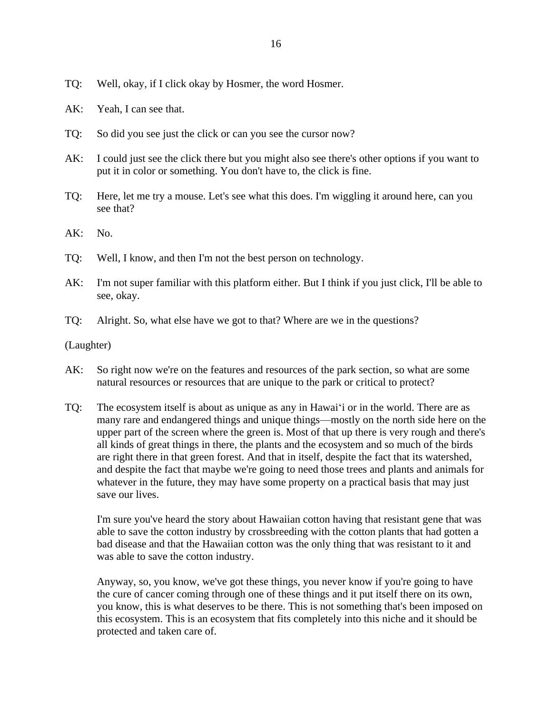- TQ: Well, okay, if I click okay by Hosmer, the word Hosmer.
- AK: Yeah, I can see that.
- TQ: So did you see just the click or can you see the cursor now?
- AK: I could just see the click there but you might also see there's other options if you want to put it in color or something. You don't have to, the click is fine.
- TQ: Here, let me try a mouse. Let's see what this does. I'm wiggling it around here, can you see that?
- AK: No.
- TQ: Well, I know, and then I'm not the best person on technology.
- AK: I'm not super familiar with this platform either. But I think if you just click, I'll be able to see, okay.
- TQ: Alright. So, what else have we got to that? Where are we in the questions?

(Laughter)

- AK: So right now we're on the features and resources of the park section, so what are some natural resources or resources that are unique to the park or critical to protect?
- TQ: The ecosystem itself is about as unique as any in Hawaiʻi or in the world. There are as many rare and endangered things and unique things—mostly on the north side here on the upper part of the screen where the green is. Most of that up there is very rough and there's all kinds of great things in there, the plants and the ecosystem and so much of the birds are right there in that green forest. And that in itself, despite the fact that its watershed, and despite the fact that maybe we're going to need those trees and plants and animals for whatever in the future, they may have some property on a practical basis that may just save our lives.

I'm sure you've heard the story about Hawaiian cotton having that resistant gene that was able to save the cotton industry by crossbreeding with the cotton plants that had gotten a bad disease and that the Hawaiian cotton was the only thing that was resistant to it and was able to save the cotton industry.

Anyway, so, you know, we've got these things, you never know if you're going to have the cure of cancer coming through one of these things and it put itself there on its own, you know, this is what deserves to be there. This is not something that's been imposed on this ecosystem. This is an ecosystem that fits completely into this niche and it should be protected and taken care of.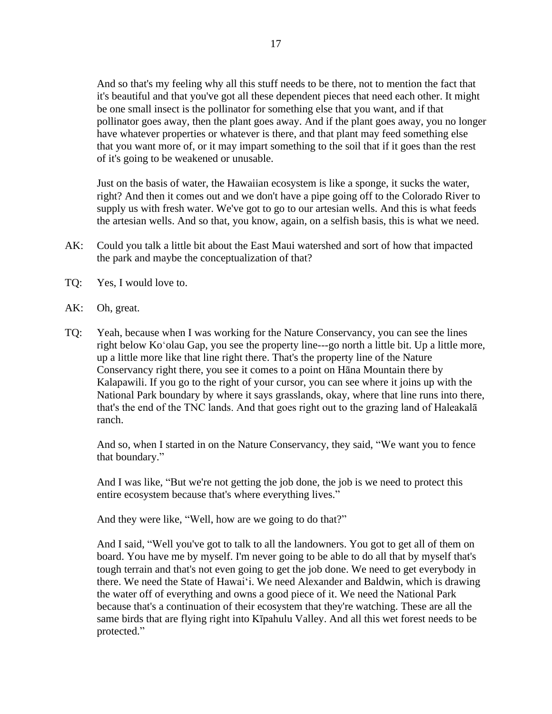And so that's my feeling why all this stuff needs to be there, not to mention the fact that it's beautiful and that you've got all these dependent pieces that need each other. It might be one small insect is the pollinator for something else that you want, and if that pollinator goes away, then the plant goes away. And if the plant goes away, you no longer have whatever properties or whatever is there, and that plant may feed something else that you want more of, or it may impart something to the soil that if it goes than the rest of it's going to be weakened or unusable.

Just on the basis of water, the Hawaiian ecosystem is like a sponge, it sucks the water, right? And then it comes out and we don't have a pipe going off to the Colorado River to supply us with fresh water. We've got to go to our artesian wells. And this is what feeds the artesian wells. And so that, you know, again, on a selfish basis, this is what we need.

- AK: Could you talk a little bit about the East Maui watershed and sort of how that impacted the park and maybe the conceptualization of that?
- TQ: Yes, I would love to.
- AK: Oh, great.
- TQ: Yeah, because when I was working for the Nature Conservancy, you can see the lines right below Koʻolau Gap, you see the property line---go north a little bit. Up a little more, up a little more like that line right there. That's the property line of the Nature Conservancy right there, you see it comes to a point on Hāna Mountain there by Kalapawili. If you go to the right of your cursor, you can see where it joins up with the National Park boundary by where it says grasslands, okay, where that line runs into there, that's the end of the TNC lands. And that goes right out to the grazing land of Haleakalā ranch.

And so, when I started in on the Nature Conservancy, they said, "We want you to fence that boundary."

And I was like, "But we're not getting the job done, the job is we need to protect this entire ecosystem because that's where everything lives."

And they were like, "Well, how are we going to do that?"

And I said, "Well you've got to talk to all the landowners. You got to get all of them on board. You have me by myself. I'm never going to be able to do all that by myself that's tough terrain and that's not even going to get the job done. We need to get everybody in there. We need the State of Hawaiʻi. We need Alexander and Baldwin, which is drawing the water off of everything and owns a good piece of it. We need the National Park because that's a continuation of their ecosystem that they're watching. These are all the same birds that are flying right into Kīpahulu Valley. And all this wet forest needs to be protected."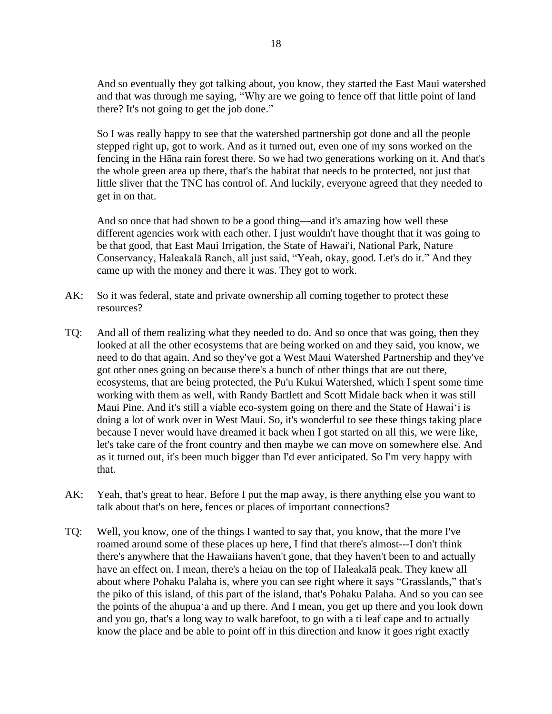And so eventually they got talking about, you know, they started the East Maui watershed and that was through me saying, "Why are we going to fence off that little point of land there? It's not going to get the job done."

So I was really happy to see that the watershed partnership got done and all the people stepped right up, got to work. And as it turned out, even one of my sons worked on the fencing in the Hāna rain forest there. So we had two generations working on it. And that's the whole green area up there, that's the habitat that needs to be protected, not just that little sliver that the TNC has control of. And luckily, everyone agreed that they needed to get in on that.

And so once that had shown to be a good thing—and it's amazing how well these different agencies work with each other. I just wouldn't have thought that it was going to be that good, that East Maui Irrigation, the State of Hawai'i, National Park, Nature Conservancy, Haleakalā Ranch, all just said, "Yeah, okay, good. Let's do it." And they came up with the money and there it was. They got to work.

- AK: So it was federal, state and private ownership all coming together to protect these resources?
- TQ: And all of them realizing what they needed to do. And so once that was going, then they looked at all the other ecosystems that are being worked on and they said, you know, we need to do that again. And so they've got a West Maui Watershed Partnership and they've got other ones going on because there's a bunch of other things that are out there, ecosystems, that are being protected, the Pu'u Kukui Watershed, which I spent some time working with them as well, with Randy Bartlett and Scott Midale back when it was still Maui Pine. And it's still a viable eco-system going on there and the State of Hawaiʻi is doing a lot of work over in West Maui. So, it's wonderful to see these things taking place because I never would have dreamed it back when I got started on all this, we were like, let's take care of the front country and then maybe we can move on somewhere else. And as it turned out, it's been much bigger than I'd ever anticipated. So I'm very happy with that.
- AK: Yeah, that's great to hear. Before I put the map away, is there anything else you want to talk about that's on here, fences or places of important connections?
- TQ: Well, you know, one of the things I wanted to say that, you know, that the more I've roamed around some of these places up here, I find that there's almost---I don't think there's anywhere that the Hawaiians haven't gone, that they haven't been to and actually have an effect on. I mean, there's a heiau on the top of Haleakalā peak. They knew all about where Pohaku Palaha is, where you can see right where it says "Grasslands," that's the piko of this island, of this part of the island, that's Pohaku Palaha. And so you can see the points of the ahupuaʻa and up there. And I mean, you get up there and you look down and you go, that's a long way to walk barefoot, to go with a ti leaf cape and to actually know the place and be able to point off in this direction and know it goes right exactly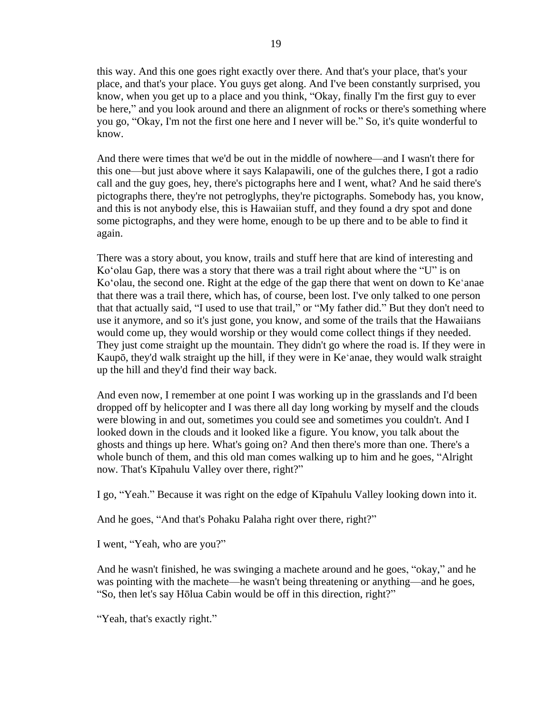this way. And this one goes right exactly over there. And that's your place, that's your place, and that's your place. You guys get along. And I've been constantly surprised, you know, when you get up to a place and you think, "Okay, finally I'm the first guy to ever be here," and you look around and there an alignment of rocks or there's something where you go, "Okay, I'm not the first one here and I never will be." So, it's quite wonderful to know.

And there were times that we'd be out in the middle of nowhere—and I wasn't there for this one—but just above where it says Kalapawili, one of the gulches there, I got a radio call and the guy goes, hey, there's pictographs here and I went, what? And he said there's pictographs there, they're not petroglyphs, they're pictographs. Somebody has, you know, and this is not anybody else, this is Hawaiian stuff, and they found a dry spot and done some pictographs, and they were home, enough to be up there and to be able to find it again.

There was a story about, you know, trails and stuff here that are kind of interesting and Koʻolau Gap, there was a story that there was a trail right about where the "U" is on Koʻolau, the second one. Right at the edge of the gap there that went on down to Keʻanae that there was a trail there, which has, of course, been lost. I've only talked to one person that that actually said, "I used to use that trail," or "My father did." But they don't need to use it anymore, and so it's just gone, you know, and some of the trails that the Hawaiians would come up, they would worship or they would come collect things if they needed. They just come straight up the mountain. They didn't go where the road is. If they were in Kaupō, they'd walk straight up the hill, if they were in Keʻanae, they would walk straight up the hill and they'd find their way back.

And even now, I remember at one point I was working up in the grasslands and I'd been dropped off by helicopter and I was there all day long working by myself and the clouds were blowing in and out, sometimes you could see and sometimes you couldn't. And I looked down in the clouds and it looked like a figure. You know, you talk about the ghosts and things up here. What's going on? And then there's more than one. There's a whole bunch of them, and this old man comes walking up to him and he goes, "Alright" now. That's Kīpahulu Valley over there, right?"

I go, "Yeah." Because it was right on the edge of Kīpahulu Valley looking down into it.

And he goes, "And that's Pohaku Palaha right over there, right?"

I went, "Yeah, who are you?"

And he wasn't finished, he was swinging a machete around and he goes, "okay," and he was pointing with the machete—he wasn't being threatening or anything—and he goes, "So, then let's say Hōlua Cabin would be off in this direction, right?"

"Yeah, that's exactly right."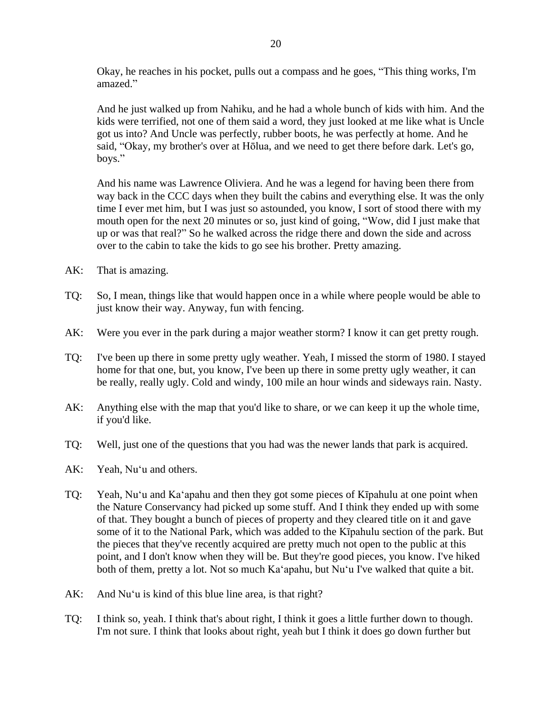Okay, he reaches in his pocket, pulls out a compass and he goes, "This thing works, I'm amazed."

And he just walked up from Nahiku, and he had a whole bunch of kids with him. And the kids were terrified, not one of them said a word, they just looked at me like what is Uncle got us into? And Uncle was perfectly, rubber boots, he was perfectly at home. And he said, "Okay, my brother's over at Hōlua, and we need to get there before dark. Let's go, boys."

And his name was Lawrence Oliviera. And he was a legend for having been there from way back in the CCC days when they built the cabins and everything else. It was the only time I ever met him, but I was just so astounded, you know, I sort of stood there with my mouth open for the next 20 minutes or so, just kind of going, "Wow, did I just make that up or was that real?" So he walked across the ridge there and down the side and across over to the cabin to take the kids to go see his brother. Pretty amazing.

- AK: That is amazing.
- TQ: So, I mean, things like that would happen once in a while where people would be able to just know their way. Anyway, fun with fencing.
- AK: Were you ever in the park during a major weather storm? I know it can get pretty rough.
- TQ: I've been up there in some pretty ugly weather. Yeah, I missed the storm of 1980. I stayed home for that one, but, you know, I've been up there in some pretty ugly weather, it can be really, really ugly. Cold and windy, 100 mile an hour winds and sideways rain. Nasty.
- AK: Anything else with the map that you'd like to share, or we can keep it up the whole time, if you'd like.
- TQ: Well, just one of the questions that you had was the newer lands that park is acquired.
- AK: Yeah, Nuʻu and others.
- TQ: Yeah, Nuʻu and Kaʻapahu and then they got some pieces of Kīpahulu at one point when the Nature Conservancy had picked up some stuff. And I think they ended up with some of that. They bought a bunch of pieces of property and they cleared title on it and gave some of it to the National Park, which was added to the Kīpahulu section of the park. But the pieces that they've recently acquired are pretty much not open to the public at this point, and I don't know when they will be. But they're good pieces, you know. I've hiked both of them, pretty a lot. Not so much Kaʻapahu, but Nuʻu I've walked that quite a bit.
- AK: And Nuʻu is kind of this blue line area, is that right?
- TQ: I think so, yeah. I think that's about right, I think it goes a little further down to though. I'm not sure. I think that looks about right, yeah but I think it does go down further but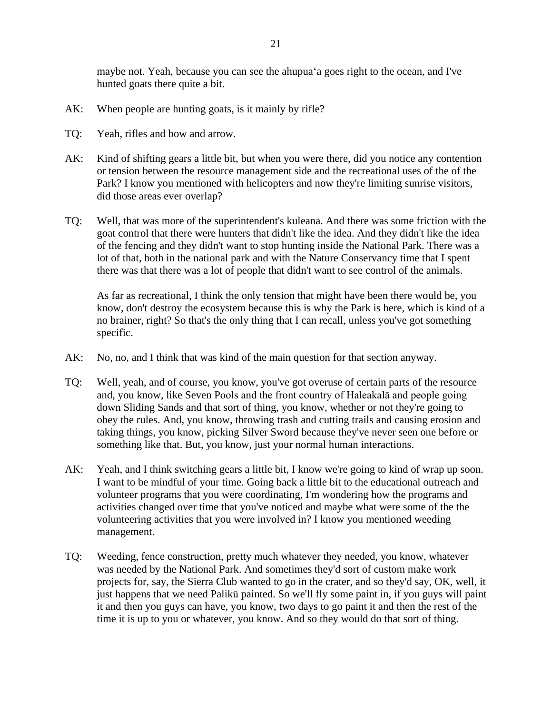maybe not. Yeah, because you can see the ahupuaʻa goes right to the ocean, and I've hunted goats there quite a bit.

- AK: When people are hunting goats, is it mainly by rifle?
- TQ: Yeah, rifles and bow and arrow.
- AK: Kind of shifting gears a little bit, but when you were there, did you notice any contention or tension between the resource management side and the recreational uses of the of the Park? I know you mentioned with helicopters and now they're limiting sunrise visitors, did those areas ever overlap?
- TQ: Well, that was more of the superintendent's kuleana. And there was some friction with the goat control that there were hunters that didn't like the idea. And they didn't like the idea of the fencing and they didn't want to stop hunting inside the National Park. There was a lot of that, both in the national park and with the Nature Conservancy time that I spent there was that there was a lot of people that didn't want to see control of the animals.

As far as recreational, I think the only tension that might have been there would be, you know, don't destroy the ecosystem because this is why the Park is here, which is kind of a no brainer, right? So that's the only thing that I can recall, unless you've got something specific.

- AK: No, no, and I think that was kind of the main question for that section anyway.
- TQ: Well, yeah, and of course, you know, you've got overuse of certain parts of the resource and, you know, like Seven Pools and the front country of Haleakalā and people going down Sliding Sands and that sort of thing, you know, whether or not they're going to obey the rules. And, you know, throwing trash and cutting trails and causing erosion and taking things, you know, picking Silver Sword because they've never seen one before or something like that. But, you know, just your normal human interactions.
- AK: Yeah, and I think switching gears a little bit, I know we're going to kind of wrap up soon. I want to be mindful of your time. Going back a little bit to the educational outreach and volunteer programs that you were coordinating, I'm wondering how the programs and activities changed over time that you've noticed and maybe what were some of the the volunteering activities that you were involved in? I know you mentioned weeding management.
- TQ: Weeding, fence construction, pretty much whatever they needed, you know, whatever was needed by the National Park. And sometimes they'd sort of custom make work projects for, say, the Sierra Club wanted to go in the crater, and so they'd say, OK, well, it just happens that we need Palikū painted. So we'll fly some paint in, if you guys will paint it and then you guys can have, you know, two days to go paint it and then the rest of the time it is up to you or whatever, you know. And so they would do that sort of thing.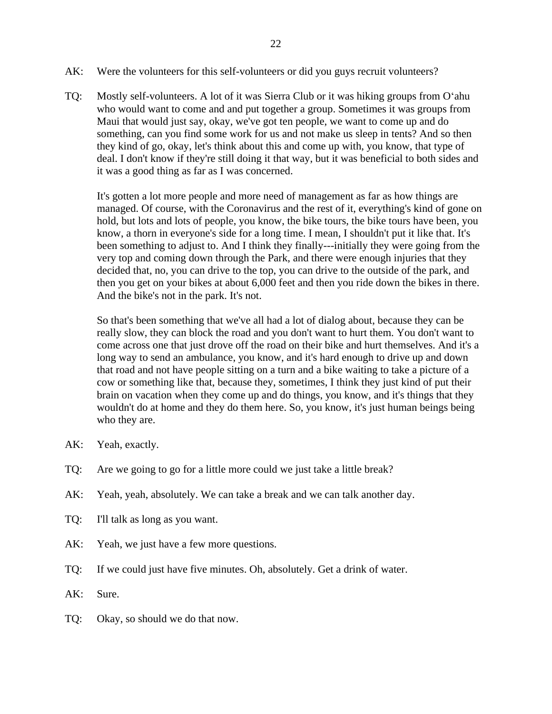- AK: Were the volunteers for this self-volunteers or did you guys recruit volunteers?
- TQ: Mostly self-volunteers. A lot of it was Sierra Club or it was hiking groups from Oʻahu who would want to come and and put together a group. Sometimes it was groups from Maui that would just say, okay, we've got ten people, we want to come up and do something, can you find some work for us and not make us sleep in tents? And so then they kind of go, okay, let's think about this and come up with, you know, that type of deal. I don't know if they're still doing it that way, but it was beneficial to both sides and it was a good thing as far as I was concerned.

It's gotten a lot more people and more need of management as far as how things are managed. Of course, with the Coronavirus and the rest of it, everything's kind of gone on hold, but lots and lots of people, you know, the bike tours, the bike tours have been, you know, a thorn in everyone's side for a long time. I mean, I shouldn't put it like that. It's been something to adjust to. And I think they finally---initially they were going from the very top and coming down through the Park, and there were enough injuries that they decided that, no, you can drive to the top, you can drive to the outside of the park, and then you get on your bikes at about 6,000 feet and then you ride down the bikes in there. And the bike's not in the park. It's not.

So that's been something that we've all had a lot of dialog about, because they can be really slow, they can block the road and you don't want to hurt them. You don't want to come across one that just drove off the road on their bike and hurt themselves. And it's a long way to send an ambulance, you know, and it's hard enough to drive up and down that road and not have people sitting on a turn and a bike waiting to take a picture of a cow or something like that, because they, sometimes, I think they just kind of put their brain on vacation when they come up and do things, you know, and it's things that they wouldn't do at home and they do them here. So, you know, it's just human beings being who they are.

- AK: Yeah, exactly.
- TQ: Are we going to go for a little more could we just take a little break?
- AK: Yeah, yeah, absolutely. We can take a break and we can talk another day.
- TQ: I'll talk as long as you want.
- AK: Yeah, we just have a few more questions.
- TQ: If we could just have five minutes. Oh, absolutely. Get a drink of water.
- AK: Sure.
- TQ: Okay, so should we do that now.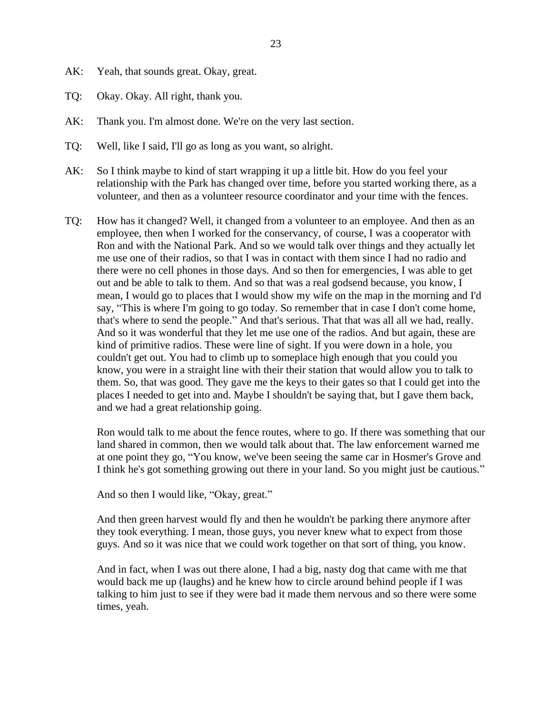- AK: Yeah, that sounds great. Okay, great.
- TQ: Okay. Okay. All right, thank you.
- AK: Thank you. I'm almost done. We're on the very last section.
- TQ: Well, like I said, I'll go as long as you want, so alright.
- AK: So I think maybe to kind of start wrapping it up a little bit. How do you feel your relationship with the Park has changed over time, before you started working there, as a volunteer, and then as a volunteer resource coordinator and your time with the fences.
- TQ: How has it changed? Well, it changed from a volunteer to an employee. And then as an employee, then when I worked for the conservancy, of course, I was a cooperator with Ron and with the National Park. And so we would talk over things and they actually let me use one of their radios, so that I was in contact with them since I had no radio and there were no cell phones in those days. And so then for emergencies, I was able to get out and be able to talk to them. And so that was a real godsend because, you know, I mean, I would go to places that I would show my wife on the map in the morning and I'd say, "This is where I'm going to go today. So remember that in case I don't come home, that's where to send the people." And that's serious. That that was all all we had, really. And so it was wonderful that they let me use one of the radios. And but again, these are kind of primitive radios. These were line of sight. If you were down in a hole, you couldn't get out. You had to climb up to someplace high enough that you could you know, you were in a straight line with their their station that would allow you to talk to them. So, that was good. They gave me the keys to their gates so that I could get into the places I needed to get into and. Maybe I shouldn't be saying that, but I gave them back, and we had a great relationship going.

Ron would talk to me about the fence routes, where to go. If there was something that our land shared in common, then we would talk about that. The law enforcement warned me at one point they go, "You know, we've been seeing the same car in Hosmer's Grove and I think he's got something growing out there in your land. So you might just be cautious."

And so then I would like, "Okay, great."

And then green harvest would fly and then he wouldn't be parking there anymore after they took everything. I mean, those guys, you never knew what to expect from those guys. And so it was nice that we could work together on that sort of thing, you know.

And in fact, when I was out there alone, I had a big, nasty dog that came with me that would back me up (laughs) and he knew how to circle around behind people if I was talking to him just to see if they were bad it made them nervous and so there were some times, yeah.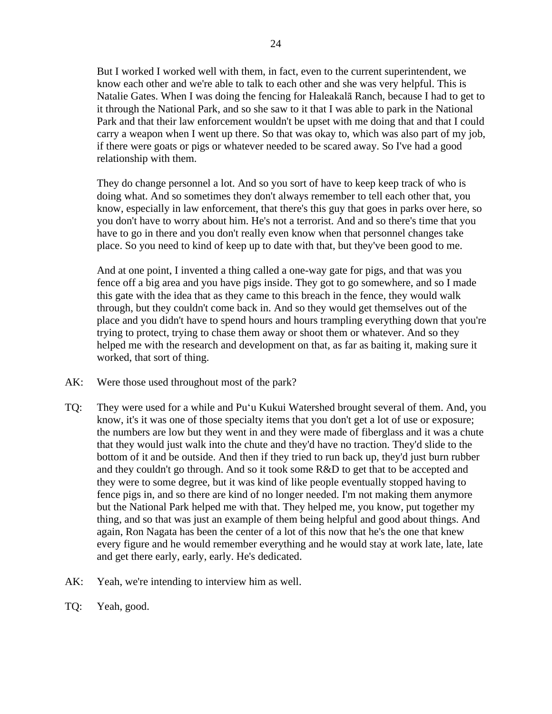But I worked I worked well with them, in fact, even to the current superintendent, we know each other and we're able to talk to each other and she was very helpful. This is Natalie Gates. When I was doing the fencing for Haleakalā Ranch, because I had to get to it through the National Park, and so she saw to it that I was able to park in the National Park and that their law enforcement wouldn't be upset with me doing that and that I could carry a weapon when I went up there. So that was okay to, which was also part of my job, if there were goats or pigs or whatever needed to be scared away. So I've had a good relationship with them.

They do change personnel a lot. And so you sort of have to keep keep track of who is doing what. And so sometimes they don't always remember to tell each other that, you know, especially in law enforcement, that there's this guy that goes in parks over here, so you don't have to worry about him. He's not a terrorist. And and so there's time that you have to go in there and you don't really even know when that personnel changes take place. So you need to kind of keep up to date with that, but they've been good to me.

And at one point, I invented a thing called a one-way gate for pigs, and that was you fence off a big area and you have pigs inside. They got to go somewhere, and so I made this gate with the idea that as they came to this breach in the fence, they would walk through, but they couldn't come back in. And so they would get themselves out of the place and you didn't have to spend hours and hours trampling everything down that you're trying to protect, trying to chase them away or shoot them or whatever. And so they helped me with the research and development on that, as far as baiting it, making sure it worked, that sort of thing.

- AK: Were those used throughout most of the park?
- TQ: They were used for a while and Puʻu Kukui Watershed brought several of them. And, you know, it's it was one of those specialty items that you don't get a lot of use or exposure; the numbers are low but they went in and they were made of fiberglass and it was a chute that they would just walk into the chute and they'd have no traction. They'd slide to the bottom of it and be outside. And then if they tried to run back up, they'd just burn rubber and they couldn't go through. And so it took some R&D to get that to be accepted and they were to some degree, but it was kind of like people eventually stopped having to fence pigs in, and so there are kind of no longer needed. I'm not making them anymore but the National Park helped me with that. They helped me, you know, put together my thing, and so that was just an example of them being helpful and good about things. And again, Ron Nagata has been the center of a lot of this now that he's the one that knew every figure and he would remember everything and he would stay at work late, late, late and get there early, early, early. He's dedicated.
- AK: Yeah, we're intending to interview him as well.
- TQ: Yeah, good.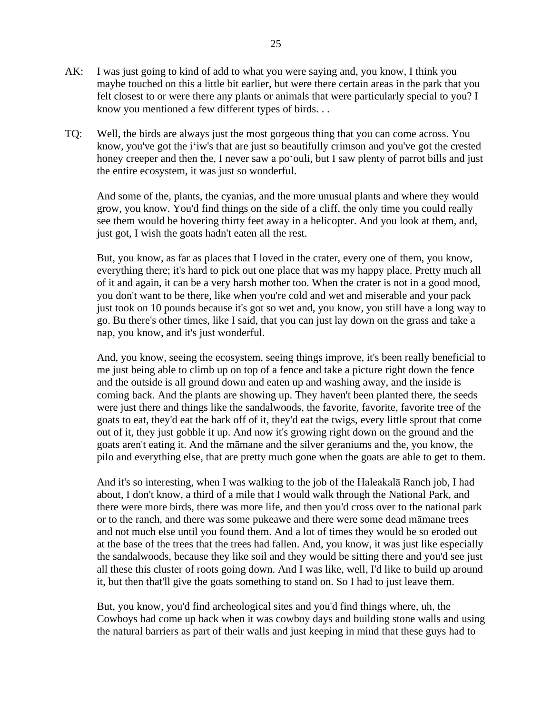- AK: I was just going to kind of add to what you were saying and, you know, I think you maybe touched on this a little bit earlier, but were there certain areas in the park that you felt closest to or were there any plants or animals that were particularly special to you? I know you mentioned a few different types of birds. . .
- TQ: Well, the birds are always just the most gorgeous thing that you can come across. You know, you've got the iʻiw's that are just so beautifully crimson and you've got the crested honey creeper and then the, I never saw a poʻouli, but I saw plenty of parrot bills and just the entire ecosystem, it was just so wonderful.

And some of the, plants, the cyanias, and the more unusual plants and where they would grow, you know. You'd find things on the side of a cliff, the only time you could really see them would be hovering thirty feet away in a helicopter. And you look at them, and, just got, I wish the goats hadn't eaten all the rest.

But, you know, as far as places that I loved in the crater, every one of them, you know, everything there; it's hard to pick out one place that was my happy place. Pretty much all of it and again, it can be a very harsh mother too. When the crater is not in a good mood, you don't want to be there, like when you're cold and wet and miserable and your pack just took on 10 pounds because it's got so wet and, you know, you still have a long way to go. Bu there's other times, like I said, that you can just lay down on the grass and take a nap, you know, and it's just wonderful.

And, you know, seeing the ecosystem, seeing things improve, it's been really beneficial to me just being able to climb up on top of a fence and take a picture right down the fence and the outside is all ground down and eaten up and washing away, and the inside is coming back. And the plants are showing up. They haven't been planted there, the seeds were just there and things like the sandalwoods, the favorite, favorite, favorite tree of the goats to eat, they'd eat the bark off of it, they'd eat the twigs, every little sprout that come out of it, they just gobble it up. And now it's growing right down on the ground and the goats aren't eating it. And the māmane and the silver geraniums and the, you know, the pilo and everything else, that are pretty much gone when the goats are able to get to them.

And it's so interesting, when I was walking to the job of the Haleakalā Ranch job, I had about, I don't know, a third of a mile that I would walk through the National Park, and there were more birds, there was more life, and then you'd cross over to the national park or to the ranch, and there was some pukeawe and there were some dead māmane trees and not much else until you found them. And a lot of times they would be so eroded out at the base of the trees that the trees had fallen. And, you know, it was just like especially the sandalwoods, because they like soil and they would be sitting there and you'd see just all these this cluster of roots going down. And I was like, well, I'd like to build up around it, but then that'll give the goats something to stand on. So I had to just leave them.

But, you know, you'd find archeological sites and you'd find things where, uh, the Cowboys had come up back when it was cowboy days and building stone walls and using the natural barriers as part of their walls and just keeping in mind that these guys had to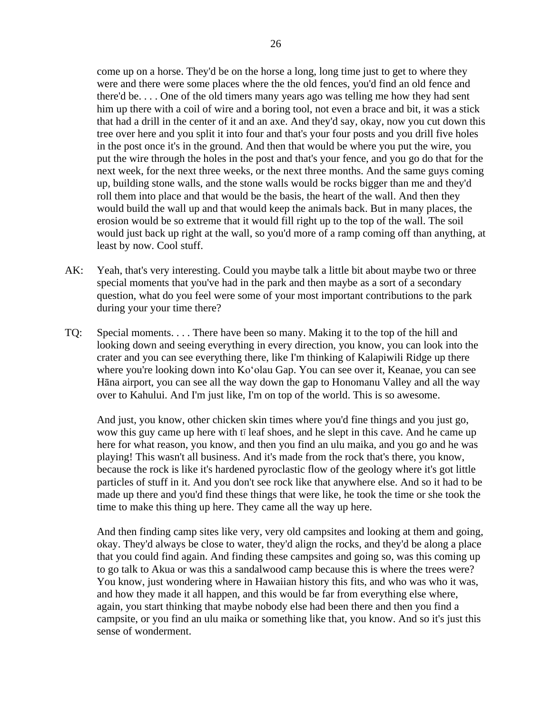come up on a horse. They'd be on the horse a long, long time just to get to where they were and there were some places where the the old fences, you'd find an old fence and there'd be. . . . One of the old timers many years ago was telling me how they had sent him up there with a coil of wire and a boring tool, not even a brace and bit, it was a stick that had a drill in the center of it and an axe. And they'd say, okay, now you cut down this tree over here and you split it into four and that's your four posts and you drill five holes in the post once it's in the ground. And then that would be where you put the wire, you put the wire through the holes in the post and that's your fence, and you go do that for the next week, for the next three weeks, or the next three months. And the same guys coming up, building stone walls, and the stone walls would be rocks bigger than me and they'd roll them into place and that would be the basis, the heart of the wall. And then they would build the wall up and that would keep the animals back. But in many places, the erosion would be so extreme that it would fill right up to the top of the wall. The soil would just back up right at the wall, so you'd more of a ramp coming off than anything, at least by now. Cool stuff.

- AK: Yeah, that's very interesting. Could you maybe talk a little bit about maybe two or three special moments that you've had in the park and then maybe as a sort of a secondary question, what do you feel were some of your most important contributions to the park during your your time there?
- TQ: Special moments. . . . There have been so many. Making it to the top of the hill and looking down and seeing everything in every direction, you know, you can look into the crater and you can see everything there, like I'm thinking of Kalapiwili Ridge up there where you're looking down into Koʻolau Gap. You can see over it, Keanae, you can see Hāna airport, you can see all the way down the gap to Honomanu Valley and all the way over to Kahului. And I'm just like, I'm on top of the world. This is so awesome.

And just, you know, other chicken skin times where you'd fine things and you just go, wow this guy came up here with tī leaf shoes, and he slept in this cave. And he came up here for what reason, you know, and then you find an ulu maika, and you go and he was playing! This wasn't all business. And it's made from the rock that's there, you know, because the rock is like it's hardened pyroclastic flow of the geology where it's got little particles of stuff in it. And you don't see rock like that anywhere else. And so it had to be made up there and you'd find these things that were like, he took the time or she took the time to make this thing up here. They came all the way up here.

And then finding camp sites like very, very old campsites and looking at them and going, okay. They'd always be close to water, they'd align the rocks, and they'd be along a place that you could find again. And finding these campsites and going so, was this coming up to go talk to Akua or was this a sandalwood camp because this is where the trees were? You know, just wondering where in Hawaiian history this fits, and who was who it was, and how they made it all happen, and this would be far from everything else where, again, you start thinking that maybe nobody else had been there and then you find a campsite, or you find an ulu maika or something like that, you know. And so it's just this sense of wonderment.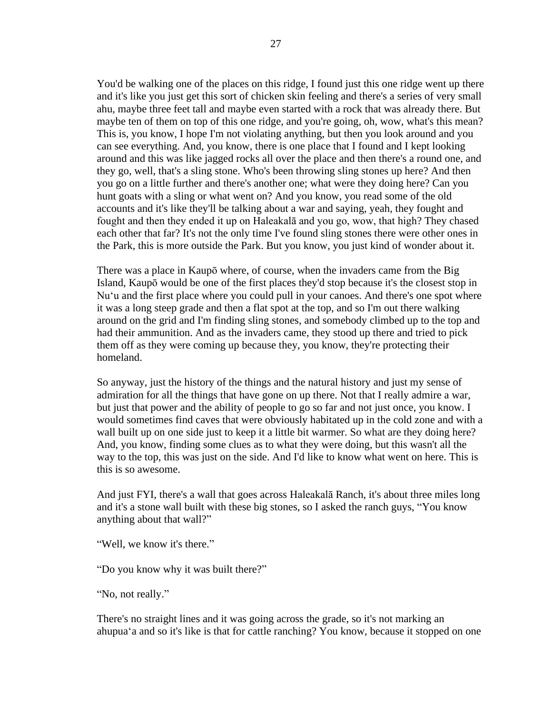You'd be walking one of the places on this ridge, I found just this one ridge went up there and it's like you just get this sort of chicken skin feeling and there's a series of very small ahu, maybe three feet tall and maybe even started with a rock that was already there. But maybe ten of them on top of this one ridge, and you're going, oh, wow, what's this mean? This is, you know, I hope I'm not violating anything, but then you look around and you can see everything. And, you know, there is one place that I found and I kept looking around and this was like jagged rocks all over the place and then there's a round one, and they go, well, that's a sling stone. Who's been throwing sling stones up here? And then you go on a little further and there's another one; what were they doing here? Can you hunt goats with a sling or what went on? And you know, you read some of the old accounts and it's like they'll be talking about a war and saying, yeah, they fought and fought and then they ended it up on Haleakalā and you go, wow, that high? They chased each other that far? It's not the only time I've found sling stones there were other ones in the Park, this is more outside the Park. But you know, you just kind of wonder about it.

There was a place in Kaupō where, of course, when the invaders came from the Big Island, Kaupō would be one of the first places they'd stop because it's the closest stop in Nuʻu and the first place where you could pull in your canoes. And there's one spot where it was a long steep grade and then a flat spot at the top, and so I'm out there walking around on the grid and I'm finding sling stones, and somebody climbed up to the top and had their ammunition. And as the invaders came, they stood up there and tried to pick them off as they were coming up because they, you know, they're protecting their homeland.

So anyway, just the history of the things and the natural history and just my sense of admiration for all the things that have gone on up there. Not that I really admire a war, but just that power and the ability of people to go so far and not just once, you know. I would sometimes find caves that were obviously habitated up in the cold zone and with a wall built up on one side just to keep it a little bit warmer. So what are they doing here? And, you know, finding some clues as to what they were doing, but this wasn't all the way to the top, this was just on the side. And I'd like to know what went on here. This is this is so awesome.

And just FYI, there's a wall that goes across Haleakalā Ranch, it's about three miles long and it's a stone wall built with these big stones, so I asked the ranch guys, "You know anything about that wall?"

"Well, we know it's there."

"Do you know why it was built there?"

"No, not really."

There's no straight lines and it was going across the grade, so it's not marking an ahupuaʻa and so it's like is that for cattle ranching? You know, because it stopped on one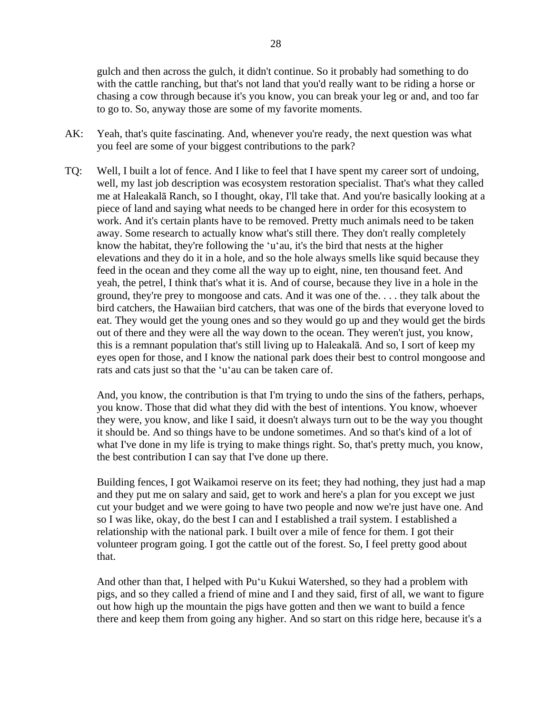gulch and then across the gulch, it didn't continue. So it probably had something to do with the cattle ranching, but that's not land that you'd really want to be riding a horse or chasing a cow through because it's you know, you can break your leg or and, and too far to go to. So, anyway those are some of my favorite moments.

- AK: Yeah, that's quite fascinating. And, whenever you're ready, the next question was what you feel are some of your biggest contributions to the park?
- TQ: Well, I built a lot of fence. And I like to feel that I have spent my career sort of undoing, well, my last job description was ecosystem restoration specialist. That's what they called me at Haleakalā Ranch, so I thought, okay, I'll take that. And you're basically looking at a piece of land and saying what needs to be changed here in order for this ecosystem to work. And it's certain plants have to be removed. Pretty much animals need to be taken away. Some research to actually know what's still there. They don't really completely know the habitat, they're following the ʻuʻau, it's the bird that nests at the higher elevations and they do it in a hole, and so the hole always smells like squid because they feed in the ocean and they come all the way up to eight, nine, ten thousand feet. And yeah, the petrel, I think that's what it is. And of course, because they live in a hole in the ground, they're prey to mongoose and cats. And it was one of the. . . . they talk about the bird catchers, the Hawaiian bird catchers, that was one of the birds that everyone loved to eat. They would get the young ones and so they would go up and they would get the birds out of there and they were all the way down to the ocean. They weren't just, you know, this is a remnant population that's still living up to Haleakalā. And so, I sort of keep my eyes open for those, and I know the national park does their best to control mongoose and rats and cats just so that the ʻuʻau can be taken care of.

And, you know, the contribution is that I'm trying to undo the sins of the fathers, perhaps, you know. Those that did what they did with the best of intentions. You know, whoever they were, you know, and like I said, it doesn't always turn out to be the way you thought it should be. And so things have to be undone sometimes. And so that's kind of a lot of what I've done in my life is trying to make things right. So, that's pretty much, you know, the best contribution I can say that I've done up there.

Building fences, I got Waikamoi reserve on its feet; they had nothing, they just had a map and they put me on salary and said, get to work and here's a plan for you except we just cut your budget and we were going to have two people and now we're just have one. And so I was like, okay, do the best I can and I established a trail system. I established a relationship with the national park. I built over a mile of fence for them. I got their volunteer program going. I got the cattle out of the forest. So, I feel pretty good about that.

And other than that, I helped with Puʻu Kukui Watershed, so they had a problem with pigs, and so they called a friend of mine and I and they said, first of all, we want to figure out how high up the mountain the pigs have gotten and then we want to build a fence there and keep them from going any higher. And so start on this ridge here, because it's a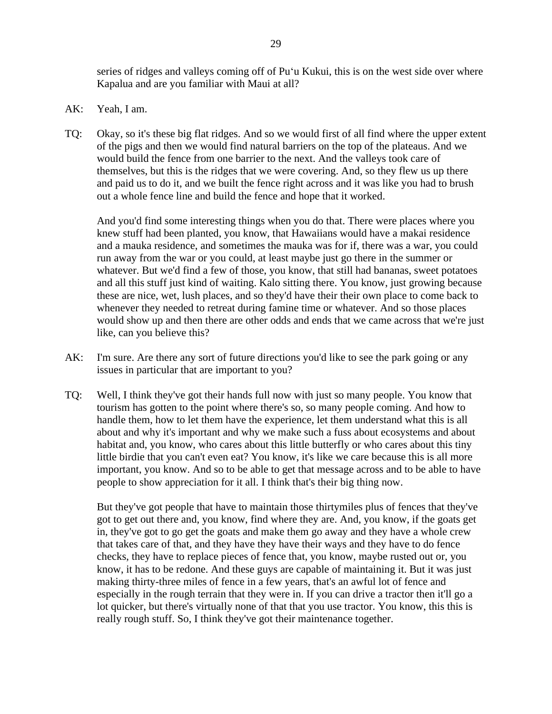series of ridges and valleys coming off of Puʻu Kukui, this is on the west side over where Kapalua and are you familiar with Maui at all?

- AK: Yeah, I am.
- TQ: Okay, so it's these big flat ridges. And so we would first of all find where the upper extent of the pigs and then we would find natural barriers on the top of the plateaus. And we would build the fence from one barrier to the next. And the valleys took care of themselves, but this is the ridges that we were covering. And, so they flew us up there and paid us to do it, and we built the fence right across and it was like you had to brush out a whole fence line and build the fence and hope that it worked.

And you'd find some interesting things when you do that. There were places where you knew stuff had been planted, you know, that Hawaiians would have a makai residence and a mauka residence, and sometimes the mauka was for if, there was a war, you could run away from the war or you could, at least maybe just go there in the summer or whatever. But we'd find a few of those, you know, that still had bananas, sweet potatoes and all this stuff just kind of waiting. Kalo sitting there. You know, just growing because these are nice, wet, lush places, and so they'd have their their own place to come back to whenever they needed to retreat during famine time or whatever. And so those places would show up and then there are other odds and ends that we came across that we're just like, can you believe this?

- AK: I'm sure. Are there any sort of future directions you'd like to see the park going or any issues in particular that are important to you?
- TQ: Well, I think they've got their hands full now with just so many people. You know that tourism has gotten to the point where there's so, so many people coming. And how to handle them, how to let them have the experience, let them understand what this is all about and why it's important and why we make such a fuss about ecosystems and about habitat and, you know, who cares about this little butterfly or who cares about this tiny little birdie that you can't even eat? You know, it's like we care because this is all more important, you know. And so to be able to get that message across and to be able to have people to show appreciation for it all. I think that's their big thing now.

But they've got people that have to maintain those thirtymiles plus of fences that they've got to get out there and, you know, find where they are. And, you know, if the goats get in, they've got to go get the goats and make them go away and they have a whole crew that takes care of that, and they have they have their ways and they have to do fence checks, they have to replace pieces of fence that, you know, maybe rusted out or, you know, it has to be redone. And these guys are capable of maintaining it. But it was just making thirty-three miles of fence in a few years, that's an awful lot of fence and especially in the rough terrain that they were in. If you can drive a tractor then it'll go a lot quicker, but there's virtually none of that that you use tractor. You know, this this is really rough stuff. So, I think they've got their maintenance together.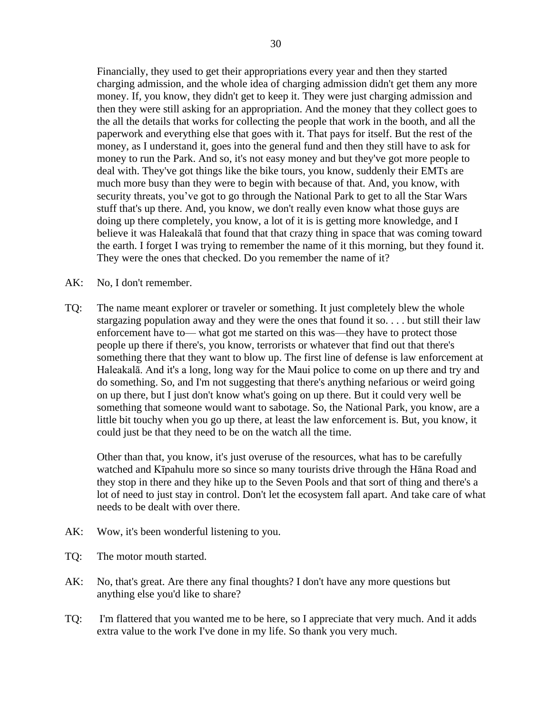Financially, they used to get their appropriations every year and then they started charging admission, and the whole idea of charging admission didn't get them any more money. If, you know, they didn't get to keep it. They were just charging admission and then they were still asking for an appropriation. And the money that they collect goes to the all the details that works for collecting the people that work in the booth, and all the paperwork and everything else that goes with it. That pays for itself. But the rest of the money, as I understand it, goes into the general fund and then they still have to ask for money to run the Park. And so, it's not easy money and but they've got more people to deal with. They've got things like the bike tours, you know, suddenly their EMTs are much more busy than they were to begin with because of that. And, you know, with security threats, you've got to go through the National Park to get to all the Star Wars stuff that's up there. And, you know, we don't really even know what those guys are doing up there completely, you know, a lot of it is is getting more knowledge, and I believe it was Haleakalā that found that that crazy thing in space that was coming toward the earth. I forget I was trying to remember the name of it this morning, but they found it. They were the ones that checked. Do you remember the name of it?

- AK: No, I don't remember.
- TQ: The name meant explorer or traveler or something. It just completely blew the whole stargazing population away and they were the ones that found it so... but still their law enforcement have to— what got me started on this was—they have to protect those people up there if there's, you know, terrorists or whatever that find out that there's something there that they want to blow up. The first line of defense is law enforcement at Haleakalā. And it's a long, long way for the Maui police to come on up there and try and do something. So, and I'm not suggesting that there's anything nefarious or weird going on up there, but I just don't know what's going on up there. But it could very well be something that someone would want to sabotage. So, the National Park, you know, are a little bit touchy when you go up there, at least the law enforcement is. But, you know, it could just be that they need to be on the watch all the time.

Other than that, you know, it's just overuse of the resources, what has to be carefully watched and Kīpahulu more so since so many tourists drive through the Hāna Road and they stop in there and they hike up to the Seven Pools and that sort of thing and there's a lot of need to just stay in control. Don't let the ecosystem fall apart. And take care of what needs to be dealt with over there.

- AK: Wow, it's been wonderful listening to you.
- TQ: The motor mouth started.
- AK: No, that's great. Are there any final thoughts? I don't have any more questions but anything else you'd like to share?
- TQ: I'm flattered that you wanted me to be here, so I appreciate that very much. And it adds extra value to the work I've done in my life. So thank you very much.